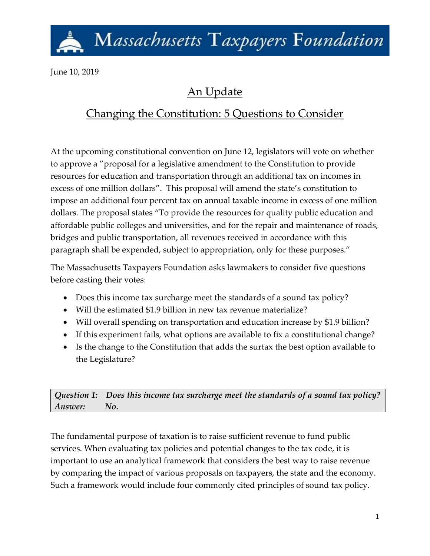June 10, 2019

#### An Update

Massachusetts Taxpayers Foundation

#### Changing the Constitution: 5 Questions to Consider

At the upcoming constitutional convention on June 12, legislators will vote on whether to approve a "proposal for a legislative amendment to the Constitution to provide resources for education and transportation through an additional tax on incomes in excess of one million dollars". This proposal will amend the state's constitution to impose an additional four percent tax on annual taxable income in excess of one million dollars. The proposal states "To provide the resources for quality public education and affordable public colleges and universities, and for the repair and maintenance of roads, bridges and public transportation, all revenues received in accordance with this paragraph shall be expended, subject to appropriation, only for these purposes."

The Massachusetts Taxpayers Foundation asks lawmakers to consider five questions before casting their votes:

- Does this income tax surcharge meet the standards of a sound tax policy?
- Will the estimated \$1.9 billion in new tax revenue materialize?
- Will overall spending on transportation and education increase by \$1.9 billion?
- If this experiment fails, what options are available to fix a constitutional change?
- Is the change to the Constitution that adds the surtax the best option available to the Legislature?

*Question 1: Does this income tax surcharge meet the standards of a sound tax policy? Answer: No.*

The fundamental purpose of taxation is to raise sufficient revenue to fund public services. When evaluating tax policies and potential changes to the tax code, it is important to use an analytical framework that considers the best way to raise revenue by comparing the impact of various proposals on taxpayers, the state and the economy. Such a framework would include four commonly cited principles of sound tax policy.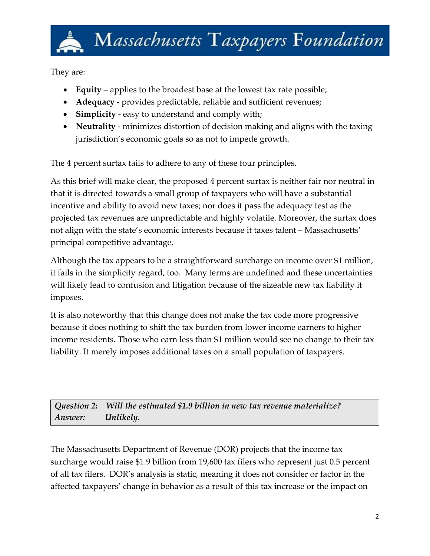

They are:

- **Equity** applies to the broadest base at the lowest tax rate possible;
- **Adequacy** provides predictable, reliable and sufficient revenues;
- **Simplicity** easy to understand and comply with;
- **Neutrality** minimizes distortion of decision making and aligns with the taxing jurisdiction's economic goals so as not to impede growth.

The 4 percent surtax fails to adhere to any of these four principles.

As this brief will make clear, the proposed 4 percent surtax is neither fair nor neutral in that it is directed towards a small group of taxpayers who will have a substantial incentive and ability to avoid new taxes; nor does it pass the adequacy test as the projected tax revenues are unpredictable and highly volatile. Moreover, the surtax does not align with the state's economic interests because it taxes talent – Massachusetts' principal competitive advantage.

Although the tax appears to be a straightforward surcharge on income over \$1 million, it fails in the simplicity regard, too. Many terms are undefined and these uncertainties will likely lead to confusion and litigation because of the sizeable new tax liability it imposes.

It is also noteworthy that this change does not make the tax code more progressive because it does nothing to shift the tax burden from lower income earners to higher income residents. Those who earn less than \$1 million would see no change to their tax liability. It merely imposes additional taxes on a small population of taxpayers.

*Question 2: Will the estimated \$1.9 billion in new tax revenue materialize? Answer: Unlikely.*

The Massachusetts Department of Revenue (DOR) projects that the income tax surcharge would raise \$1.9 billion from 19,600 tax filers who represent just 0.5 percent of all tax filers. DOR's analysis is static, meaning it does not consider or factor in the affected taxpayers' change in behavior as a result of this tax increase or the impact on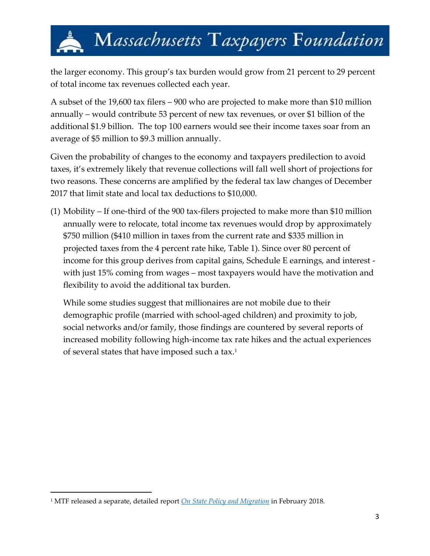the larger economy. This group's tax burden would grow from 21 percent to 29 percent of total income tax revenues collected each year.

A subset of the 19,600 tax filers – 900 who are projected to make more than \$10 million annually – would contribute 53 percent of new tax revenues, or over \$1 billion of the additional \$1.9 billion. The top 100 earners would see their income taxes soar from an average of \$5 million to \$9.3 million annually.

Given the probability of changes to the economy and taxpayers predilection to avoid taxes, it's extremely likely that revenue collections will fall well short of projections for two reasons. These concerns are amplified by the federal tax law changes of December 2017 that limit state and local tax deductions to \$10,000.

(1) Mobility – If one-third of the 900 tax-filers projected to make more than \$10 million annually were to relocate, total income tax revenues would drop by approximately \$750 million (\$410 million in taxes from the current rate and \$335 million in projected taxes from the 4 percent rate hike, Table 1). Since over 80 percent of income for this group derives from capital gains, Schedule E earnings, and interest with just 15% coming from wages – most taxpayers would have the motivation and flexibility to avoid the additional tax burden.

While some studies suggest that millionaires are not mobile due to their demographic profile (married with school-aged children) and proximity to job, social networks and/or family, those findings are countered by several reports of increased mobility following high-income tax rate hikes and the actual experiences of several states that have imposed such a tax. 1

<sup>1</sup> MTF released a separate, detailed report *[On State Policy and Migration](https://www.masstaxpayers.org/sites/masstaxpayers.org/files/On%20Tax%20Policy%20and%20Migration.pdf)* in February 2018.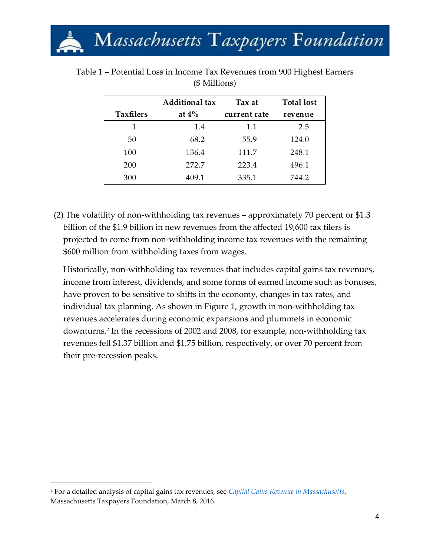

|                  | <b>Additional tax</b> | Tax at       | <b>Total lost</b> |  |
|------------------|-----------------------|--------------|-------------------|--|
| <b>Taxfilers</b> | at $4\%$              | current rate | revenue           |  |
| 1                | 1.4                   | 1.1          | 2.5               |  |
| 50               | 68.2                  | 55.9         | 124.0             |  |
| 100              | 136.4                 | 111.7        | 248.1             |  |
| 200              | 272.7                 | 223.4        | 496.1             |  |
| 300              | 409.1                 | 335.1        | 744.2             |  |

Table 1 – Potential Loss in Income Tax Revenues from 900 Highest Earners (\$ Millions)

(2) The volatility of non-withholding tax revenues – approximately 70 percent or \$1.3 billion of the \$1.9 billion in new revenues from the affected 19,600 tax filers is projected to come from non-withholding income tax revenues with the remaining \$600 million from withholding taxes from wages.

Historically, non-withholding tax revenues that includes capital gains tax revenues, income from interest, dividends, and some forms of earned income such as bonuses, have proven to be sensitive to shifts in the economy, changes in tax rates, and individual tax planning. As shown in Figure 1, growth in non-withholding tax revenues accelerates during economic expansions and plummets in economic downturns.<sup>2</sup> In the recessions of 2002 and 2008, for example, non-withholding tax revenues fell \$1.37 billion and \$1.75 billion, respectively, or over 70 percent from their pre-recession peaks.

<sup>2</sup> For a detailed analysis of capital gains tax revenues, see *[Capital Gains Revenue in Massachusetts](https://www.masstaxpayers.org/sites/masstaxpayers.org/files/Cap%20Gains.pdf)*, Massachusetts Taxpayers Foundation, March 8, 2016.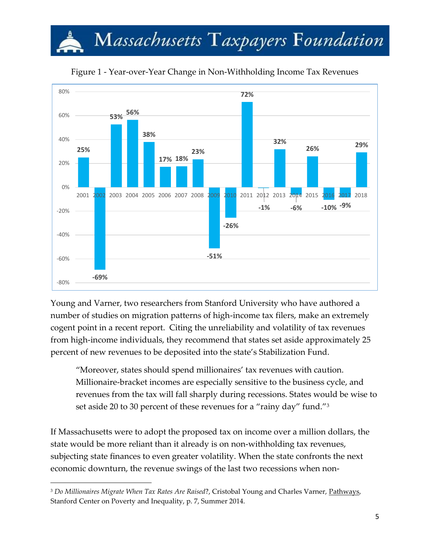

Figure 1 - Year-over-Year Change in Non-Withholding Income Tax Revenues

Young and Varner, two researchers from Stanford University who have authored a number of studies on migration patterns of high-income tax filers, make an extremely cogent point in a recent report. Citing the unreliability and volatility of tax revenues from high-income individuals, they recommend that states set aside approximately 25 percent of new revenues to be deposited into the state's Stabilization Fund.

"Moreover, states should spend millionaires' tax revenues with caution. Millionaire-bracket incomes are especially sensitive to the business cycle, and revenues from the tax will fall sharply during recessions. States would be wise to set aside 20 to 30 percent of these revenues for a "rainy day" fund."<sup>3</sup>

If Massachusetts were to adopt the proposed tax on income over a million dollars, the state would be more reliant than it already is on non-withholding tax revenues, subjecting state finances to even greater volatility. When the state confronts the next economic downturn, the revenue swings of the last two recessions when non-

<sup>3</sup> *Do Millionaires Migrate When Tax Rates Are Raised*?, Cristobal Young and Charles Varner, Pathways, Stanford Center on Poverty and Inequality, p. 7, Summer 2014.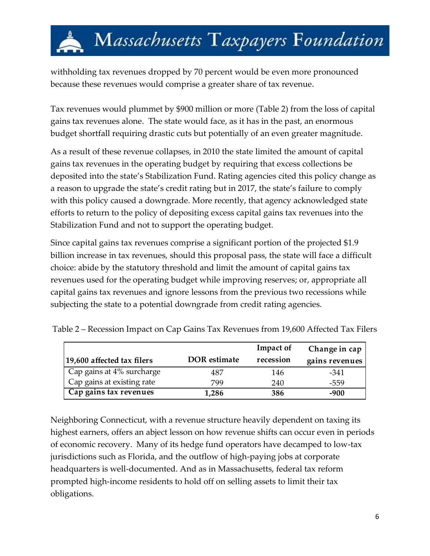withholding tax revenues dropped by 70 percent would be even more pronounced because these revenues would comprise a greater share of tax revenue.

Tax revenues would plummet by \$900 million or more (Table 2) from the loss of capital gains tax revenues alone. The state would face, as it has in the past, an enormous budget shortfall requiring drastic cuts but potentially of an even greater magnitude.

As a result of these revenue collapses, in 2010 the state limited the amount of capital gains tax revenues in the operating budget by requiring that excess collections be deposited into the state's Stabilization Fund. Rating agencies cited this policy change as a reason to upgrade the state's credit rating but in 2017, the state's failure to comply with this policy caused a downgrade. More recently, that agency acknowledged state efforts to return to the policy of depositing excess capital gains tax revenues into the Stabilization Fund and not to support the operating budget.

Since capital gains tax revenues comprise a significant portion of the projected \$1.9 billion increase in tax revenues, should this proposal pass, the state will face a difficult choice: abide by the statutory threshold and limit the amount of capital gains tax revenues used for the operating budget while improving reserves; or, appropriate all capital gains tax revenues and ignore lessons from the previous two recessions while subjecting the state to a potential downgrade from credit rating agencies.

| 19,600 affected tax filers | DOR estimate | Impact of<br>recession | Change in cap<br>gains revenues |
|----------------------------|--------------|------------------------|---------------------------------|
| Cap gains at 4% surcharge  | 487          | 146                    | -341                            |
| Cap gains at existing rate | 799          | 240                    | -559                            |
| Cap gains tax revenues     | 1,286        | 386                    | -900                            |

Table 2 – Recession Impact on Cap Gains Tax Revenues from 19,600 Affected Tax Filers

Neighboring Connecticut, with a revenue structure heavily dependent on taxing its highest earners, offers an abject lesson on how revenue shifts can occur even in periods of economic recovery. Many of its hedge fund operators have decamped to low-tax jurisdictions such as Florida, and the outflow of high-paying jobs at corporate headquarters is well-documented. And as in Massachusetts, federal tax reform prompted high-income residents to hold off on selling assets to limit their tax obligations.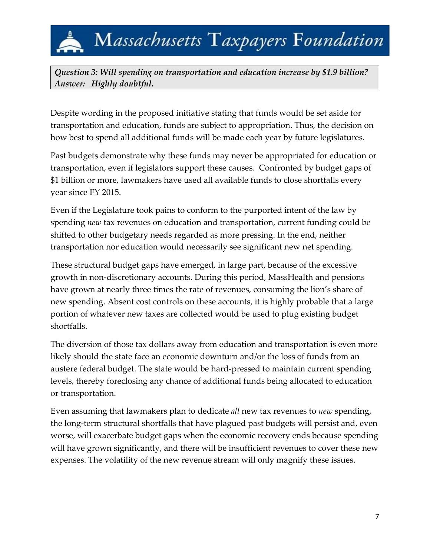#### *Question 3: Will spending on transportation and education increase by \$1.9 billion? Answer: Highly doubtful.*

Massachusetts Taxpayers Foundation

Despite wording in the proposed initiative stating that funds would be set aside for transportation and education, funds are subject to appropriation. Thus, the decision on how best to spend all additional funds will be made each year by future legislatures.

Past budgets demonstrate why these funds may never be appropriated for education or transportation, even if legislators support these causes. Confronted by budget gaps of \$1 billion or more, lawmakers have used all available funds to close shortfalls every year since FY 2015.

Even if the Legislature took pains to conform to the purported intent of the law by spending *new* tax revenues on education and transportation, current funding could be shifted to other budgetary needs regarded as more pressing. In the end, neither transportation nor education would necessarily see significant new net spending.

These structural budget gaps have emerged, in large part, because of the excessive growth in non-discretionary accounts. During this period, MassHealth and pensions have grown at nearly three times the rate of revenues, consuming the lion's share of new spending. Absent cost controls on these accounts, it is highly probable that a large portion of whatever new taxes are collected would be used to plug existing budget shortfalls.

The diversion of those tax dollars away from education and transportation is even more likely should the state face an economic downturn and/or the loss of funds from an austere federal budget. The state would be hard-pressed to maintain current spending levels, thereby foreclosing any chance of additional funds being allocated to education or transportation.

Even assuming that lawmakers plan to dedicate *all* new tax revenues to *new* spending, the long-term structural shortfalls that have plagued past budgets will persist and, even worse, will exacerbate budget gaps when the economic recovery ends because spending will have grown significantly, and there will be insufficient revenues to cover these new expenses. The volatility of the new revenue stream will only magnify these issues.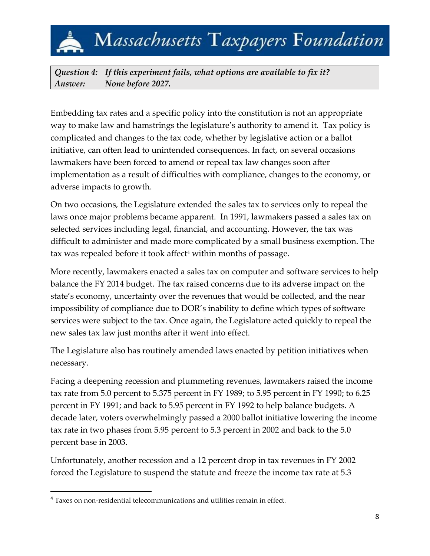*Question 4: If this experiment fails, what options are available to fix it? Answer: None before 2027.*

Embedding tax rates and a specific policy into the constitution is not an appropriate way to make law and hamstrings the legislature's authority to amend it. Tax policy is complicated and changes to the tax code, whether by legislative action or a ballot initiative, can often lead to unintended consequences. In fact, on several occasions lawmakers have been forced to amend or repeal tax law changes soon after implementation as a result of difficulties with compliance, changes to the economy, or adverse impacts to growth.

On two occasions, the Legislature extended the sales tax to services only to repeal the laws once major problems became apparent. In 1991, lawmakers passed a sales tax on selected services including legal, financial, and accounting. However, the tax was difficult to administer and made more complicated by a small business exemption. The tax was repealed before it took affect<sup>4</sup> within months of passage.

More recently, lawmakers enacted a sales tax on computer and software services to help balance the FY 2014 budget. The tax raised concerns due to its adverse impact on the state's economy, uncertainty over the revenues that would be collected, and the near impossibility of compliance due to DOR's inability to define which types of software services were subject to the tax. Once again, the Legislature acted quickly to repeal the new sales tax law just months after it went into effect.

The Legislature also has routinely amended laws enacted by petition initiatives when necessary.

Facing a deepening recession and plummeting revenues, lawmakers raised the income tax rate from 5.0 percent to 5.375 percent in FY 1989; to 5.95 percent in FY 1990; to 6.25 percent in FY 1991; and back to 5.95 percent in FY 1992 to help balance budgets. A decade later, voters overwhelmingly passed a 2000 ballot initiative lowering the income tax rate in two phases from 5.95 percent to 5.3 percent in 2002 and back to the 5.0 percent base in 2003.

Unfortunately, another recession and a 12 percent drop in tax revenues in FY 2002 forced the Legislature to suspend the statute and freeze the income tax rate at 5.3

<sup>4</sup> Taxes on non-residential telecommunications and utilities remain in effect.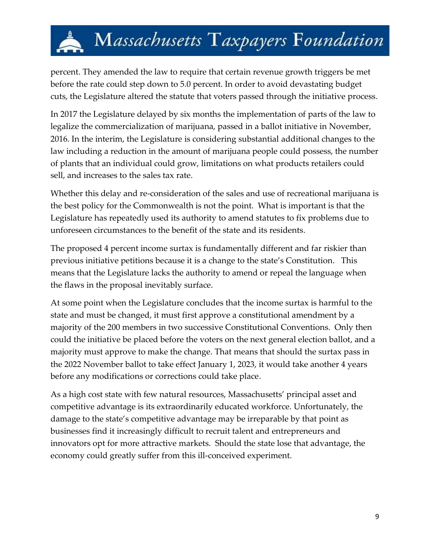percent. They amended the law to require that certain revenue growth triggers be met before the rate could step down to 5.0 percent. In order to avoid devastating budget cuts, the Legislature altered the statute that voters passed through the initiative process.

In 2017 the Legislature delayed by six months the implementation of parts of the law to legalize the commercialization of marijuana, passed in a ballot initiative in November, 2016. In the interim, the Legislature is considering substantial additional changes to the law including a reduction in the amount of marijuana people could possess, the number of plants that an individual could grow, limitations on what products retailers could sell, and increases to the sales tax rate.

Whether this delay and re-consideration of the sales and use of recreational marijuana is the best policy for the Commonwealth is not the point. What is important is that the Legislature has repeatedly used its authority to amend statutes to fix problems due to unforeseen circumstances to the benefit of the state and its residents.

The proposed 4 percent income surtax is fundamentally different and far riskier than previous initiative petitions because it is a change to the state's Constitution. This means that the Legislature lacks the authority to amend or repeal the language when the flaws in the proposal inevitably surface.

At some point when the Legislature concludes that the income surtax is harmful to the state and must be changed, it must first approve a constitutional amendment by a majority of the 200 members in two successive Constitutional Conventions. Only then could the initiative be placed before the voters on the next general election ballot, and a majority must approve to make the change. That means that should the surtax pass in the 2022 November ballot to take effect January 1, 2023, it would take another 4 years before any modifications or corrections could take place.

As a high cost state with few natural resources, Massachusetts' principal asset and competitive advantage is its extraordinarily educated workforce. Unfortunately, the damage to the state's competitive advantage may be irreparable by that point as businesses find it increasingly difficult to recruit talent and entrepreneurs and innovators opt for more attractive markets. Should the state lose that advantage, the economy could greatly suffer from this ill-conceived experiment.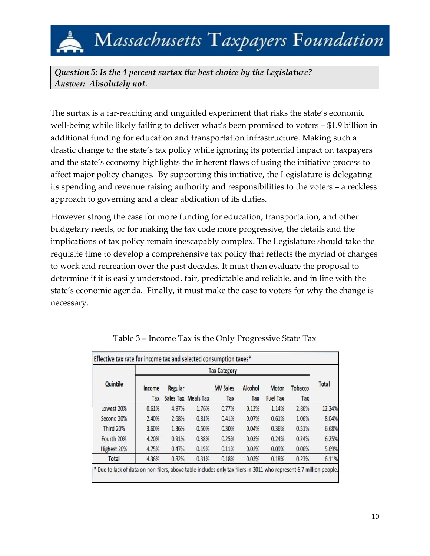*Question 5: Is the 4 percent surtax the best choice by the Legislature? Answer: Absolutely not.*

The surtax is a far-reaching and unguided experiment that risks the state's economic well-being while likely failing to deliver what's been promised to voters – \$1.9 billion in additional funding for education and transportation infrastructure. Making such a drastic change to the state's tax policy while ignoring its potential impact on taxpayers and the state's economy highlights the inherent flaws of using the initiative process to affect major policy changes. By supporting this initiative, the Legislature is delegating its spending and revenue raising authority and responsibilities to the voters – a reckless approach to governing and a clear abdication of its duties.

However strong the case for more funding for education, transportation, and other budgetary needs, or for making the tax code more progressive, the details and the implications of tax policy remain inescapably complex. The Legislature should take the requisite time to develop a comprehensive tax policy that reflects the myriad of changes to work and recreation over the past decades. It must then evaluate the proposal to determine if it is easily understood, fair, predictable and reliable, and in line with the state's economic agenda. Finally, it must make the case to voters for why the change is necessary.

| Quintile     | <b>Tax Category</b> |         |                     |                        |                |                                 |                       |              |
|--------------|---------------------|---------|---------------------|------------------------|----------------|---------------------------------|-----------------------|--------------|
|              | Income<br>Tax       | Regular | Sales Tax Meals Tax | <b>MV Sales</b><br>Tax | Alcohol<br>Tax | <b>Motor</b><br><b>Fuel Tax</b> | <b>Tobacco</b><br>Tax | <b>Total</b> |
| Lowest 20%   | 0.61%               | 4.97%   | 1.76%               | 0.77%                  | 0.13%          | 1.14%                           | 2.86%                 | 12.24%       |
| Second 20%   | 2.40%               | 2.68%   | 0.81%               | 0.41%                  | 0.07%          | 0.61%                           | 1.06%                 | 8.04%        |
| Third 20%    | 3.60%               | 1.36%   | 0.50%               | 0.30%                  | 0.04%          | 0.36%                           | 0.51%                 | 6.68%        |
| Fourth 20%   | 4.20%               | 0.91%   | 0.38%               | 0.25%                  | 0.03%          | 0.24%                           | 0.24%                 | 6.25%        |
| Highest 20%  | 4.75%               | 0.47%   | 0.19%               | 0.11%                  | 0.02%          | 0.09%                           | 0.06%                 | 5.69%        |
| <b>Total</b> | 4.36%               | 0.82%   | 0.31%               | 0.18%                  | 0.03%          | 0.18%                           | 0.23%                 | 6.11%        |

Table 3 – Income Tax is the Only Progressive State Tax